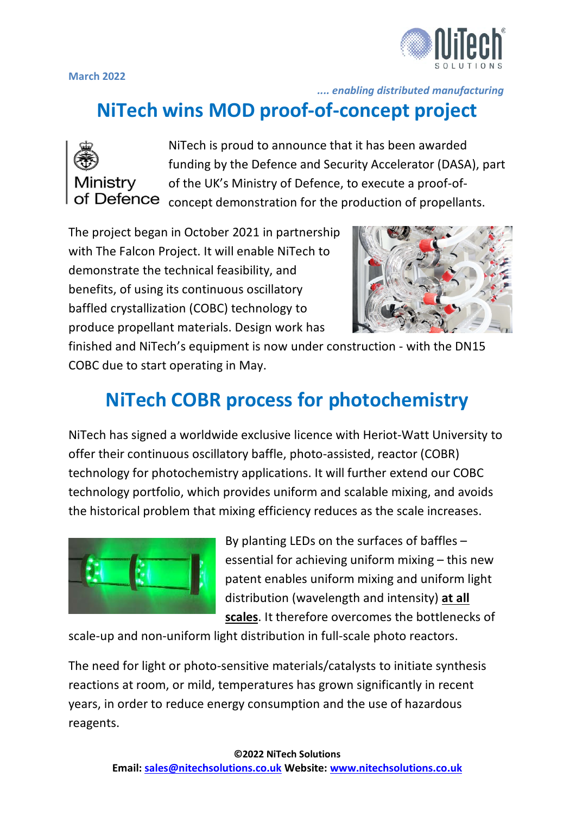

**March 2022**

 *.... enabling distributed manufacturing*

# **NiTech wins MOD proof-of-concept project**



NiTech is proud to announce that it has been awarded funding by the Defence and Security Accelerator (DASA), part of the UK's Ministry of Defence, to execute a proof-of-**Defence**  $\epsilon$ <sub>concept</sub> demonstration for the production of propellants.

The project began in October 2021 in partnership with The Falcon Project. It will enable NiTech to demonstrate the technical feasibility, and benefits, of using its continuous oscillatory baffled crystallization (COBC) technology to produce propellant materials. Design work has



finished and NiTech's equipment is now under construction - with the DN15 COBC due to start operating in May.

# **NiTech COBR process for photochemistry**

NiTech has signed a worldwide exclusive licence with Heriot-Watt University to offer their continuous oscillatory baffle, photo-assisted, reactor (COBR) technology for photochemistry applications. It will further extend our COBC technology portfolio, which provides uniform and scalable mixing, and avoids the historical problem that mixing efficiency reduces as the scale increases.



By planting LEDs on the surfaces of baffles – essential for achieving uniform mixing – this new patent enables uniform mixing and uniform light distribution (wavelength and intensity) **at all scales**. It therefore overcomes the bottlenecks of

scale-up and non-uniform light distribution in full-scale photo reactors.

The need for light or photo-sensitive materials/catalysts to initiate synthesis reactions at room, or mild, temperatures has grown significantly in recent years, in order to reduce energy consumption and the use of hazardous reagents.